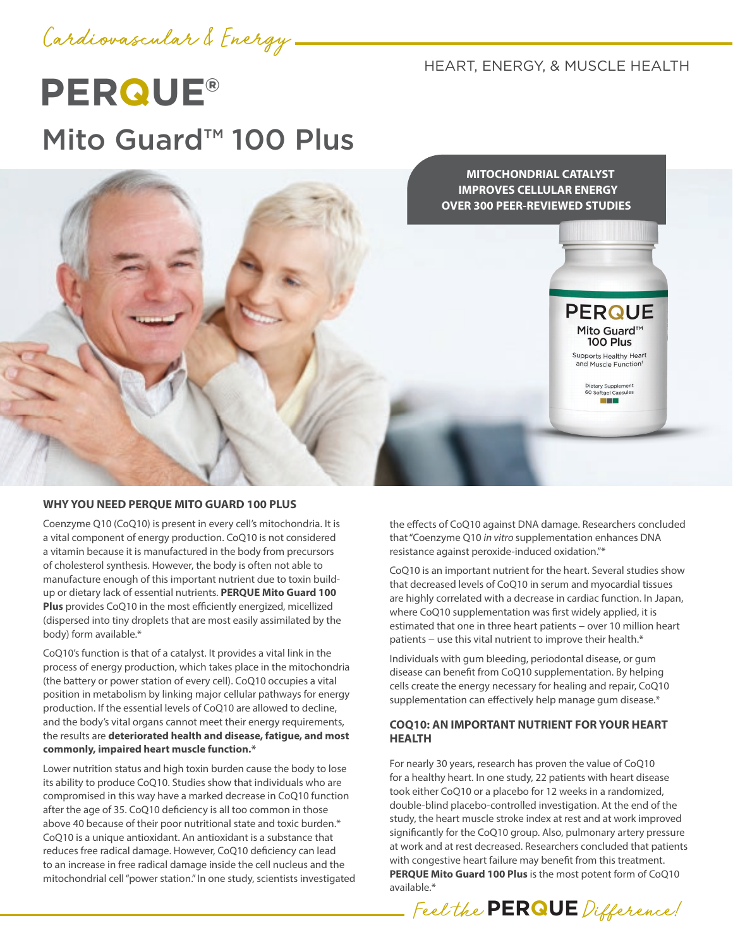

HEART, ENERGY, & MUSCLE HEALTH

# **PERQUE®** Mito Guard™ 100 Plus



### **WHY YOU NEED PERQUE MITO GUARD 100 PLUS**

Coenzyme Q10 (CoQ10) is present in every cell's mitochondria. It is a vital component of energy production. CoQ10 is not considered a vitamin because it is manufactured in the body from precursors of cholesterol synthesis. However, the body is often not able to manufacture enough of this important nutrient due to toxin buildup or dietary lack of essential nutrients. **PERQUE Mito Guard 100 Plus** provides CoQ10 in the most efficiently energized, micellized (dispersed into tiny droplets that are most easily assimilated by the body) form available.\*

CoQ10's function is that of a catalyst. It provides a vital link in the process of energy production, which takes place in the mitochondria (the battery or power station of every cell). CoQ10 occupies a vital position in metabolism by linking major cellular pathways for energy production. If the essential levels of CoQ10 are allowed to decline, and the body's vital organs cannot meet their energy requirements, the results are **deteriorated health and disease, fatigue, and most commonly, impaired heart muscle function.\***

Lower nutrition status and high toxin burden cause the body to lose its ability to produce CoQ10. Studies show that individuals who are compromised in this way have a marked decrease in CoQ10 function after the age of 35. CoQ10 deficiency is all too common in those above 40 because of their poor nutritional state and toxic burden.\* CoQ10 is a unique antioxidant. An antioxidant is a substance that reduces free radical damage. However, CoQ10 deficiency can lead to an increase in free radical damage inside the cell nucleus and the mitochondrial cell "power station." In one study, scientists investigated the effects of CoQ10 against DNA damage. Researchers concluded that "Coenzyme Q10 *in vitro* supplementation enhances DNA resistance against peroxide-induced oxidation."\*

CoQ10 is an important nutrient for the heart. Several studies show that decreased levels of CoQ10 in serum and myocardial tissues are highly correlated with a decrease in cardiac function. In Japan, where CoQ10 supplementation was first widely applied, it is estimated that one in three heart patients – over 10 million heart patients – use this vital nutrient to improve their health.<sup>\*</sup>

Individuals with gum bleeding, periodontal disease, or gum disease can benefit from CoQ10 supplementation. By helping cells create the energy necessary for healing and repair, CoQ10 supplementation can effectively help manage gum disease.\*

## **COQ10: AN IMPORTANT NUTRIENT FOR YOUR HEART HEALTH**

For nearly 30 years, research has proven the value of CoQ10 for a healthy heart. In one study, 22 patients with heart disease took either CoQ10 or a placebo for 12 weeks in a randomized, double-blind placebo-controlled investigation. At the end of the study, the heart muscle stroke index at rest and at work improved significantly for the CoQ10 group. Also, pulmonary artery pressure at work and at rest decreased. Researchers concluded that patients with congestive heart failure may benefit from this treatment. **PERQUE Mito Guard 100 Plus** is the most potent form of CoQ10 available.\*